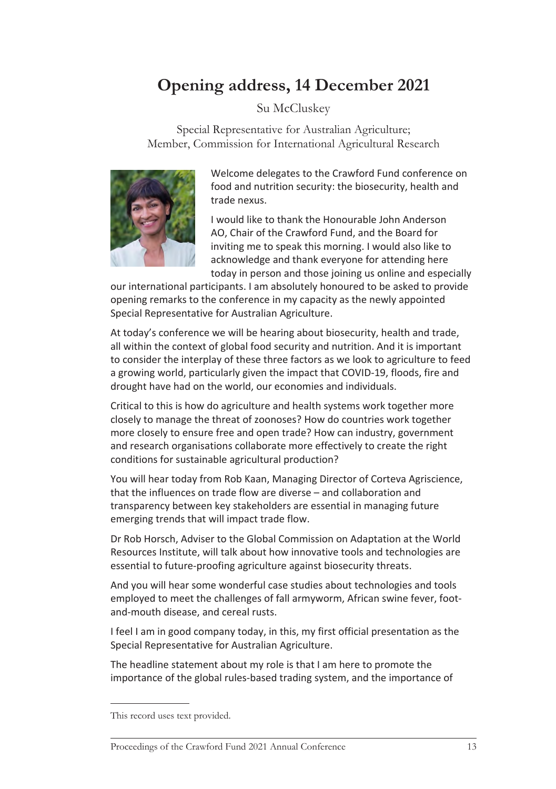## **Opening address, 14 December 2021**

## Su McCluskey

Special Representative for Australian Agriculture; Member, Commission for International Agricultural Research



Welcome delegates to the Crawford Fund conference on food and nutrition security: the biosecurity, health and trade nexus.

I would like to thank the Honourable John Anderson AO, Chair of the Crawford Fund, and the Board for inviting me to speak this morning. I would also like to acknowledge and thank everyone for attending here today in person and those joining us online and especially

our international participants. I am absolutely honoured to be asked to provide opening remarks to the conference in my capacity as the newly appointed Special Representative for Australian Agriculture.

At today's conference we will be hearing about biosecurity, health and trade, all within the context of global food security and nutrition. And it is important to consider the interplay of these three factors as we look to agriculture to feed a growing world, particularly given the impact that COVID-19, floods, fire and drought have had on the world, our economies and individuals.

Critical to this is how do agriculture and health systems work together more closely to manage the threat of zoonoses? How do countries work together more closely to ensure free and open trade? How can industry, government and research organisations collaborate more effectively to create the right conditions for sustainable agricultural production?

You will hear today from Rob Kaan, Managing Director of Corteva Agriscience, that the influences on trade flow are diverse – and collaboration and transparency between key stakeholders are essential in managing future emerging trends that will impact trade flow.

Dr Rob Horsch, Adviser to the Global Commission on Adaptation at the World Resources Institute, will talk about how innovative tools and technologies are essential to future-proofing agriculture against biosecurity threats.

And you will hear some wonderful case studies about technologies and tools employed to meet the challenges of fall armyworm, African swine fever, footand-mouth disease, and cereal rusts.

I feel I am in good company today, in this, my first official presentation as the Special Representative for Australian Agriculture.

The headline statement about my role is that I am here to promote the importance of the global rules-based trading system, and the importance of

This record uses text provided.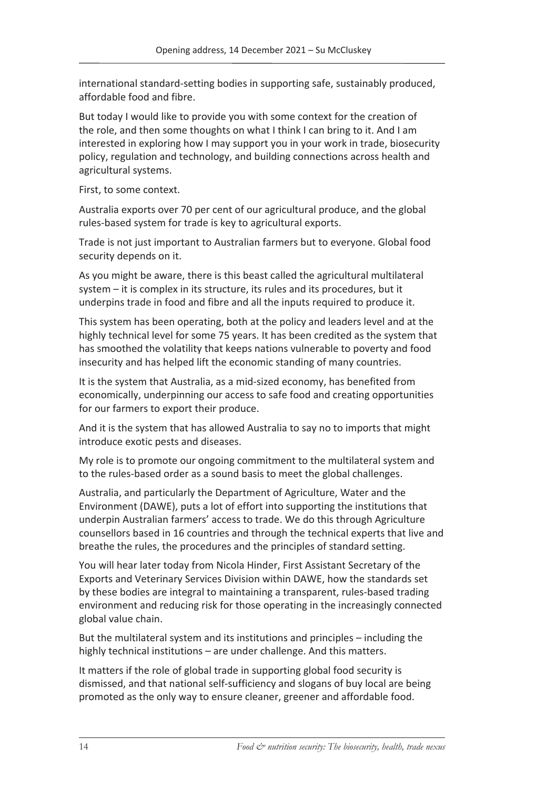international standard-setting bodies in supporting safe, sustainably produced, affordable food and fibre.

But today I would like to provide you with some context for the creation of the role, and then some thoughts on what I think I can bring to it. And I am interested in exploring how I may support you in your work in trade, biosecurity policy, regulation and technology, and building connections across health and agricultural systems.

First, to some context.

Australia exports over 70 per cent of our agricultural produce, and the global rules-based system for trade is key to agricultural exports.

Trade is not just important to Australian farmers but to everyone. Global food security depends on it.

As you might be aware, there is this beast called the agricultural multilateral system – it is complex in its structure, its rules and its procedures, but it underpins trade in food and fibre and all the inputs required to produce it.

This system has been operating, both at the policy and leaders level and at the highly technical level for some 75 years. It has been credited as the system that has smoothed the volatility that keeps nations vulnerable to poverty and food insecurity and has helped lift the economic standing of many countries.

It is the system that Australia, as a mid-sized economy, has benefited from economically, underpinning our access to safe food and creating opportunities for our farmers to export their produce.

And it is the system that has allowed Australia to say no to imports that might introduce exotic pests and diseases.

My role is to promote our ongoing commitment to the multilateral system and to the rules-based order as a sound basis to meet the global challenges.

Australia, and particularly the Department of Agriculture, Water and the Environment (DAWE), puts a lot of effort into supporting the institutions that underpin Australian farmers' access to trade. We do this through Agriculture counsellors based in 16 countries and through the technical experts that live and breathe the rules, the procedures and the principles of standard setting.

You will hear later today from Nicola Hinder, First Assistant Secretary of the Exports and Veterinary Services Division within DAWE, how the standards set by these bodies are integral to maintaining a transparent, rules-based trading environment and reducing risk for those operating in the increasingly connected global value chain.

But the multilateral system and its institutions and principles – including the highly technical institutions – are under challenge. And this matters.

It matters if the role of global trade in supporting global food security is dismissed, and that national self-sufficiency and slogans of buy local are being promoted as the only way to ensure cleaner, greener and affordable food.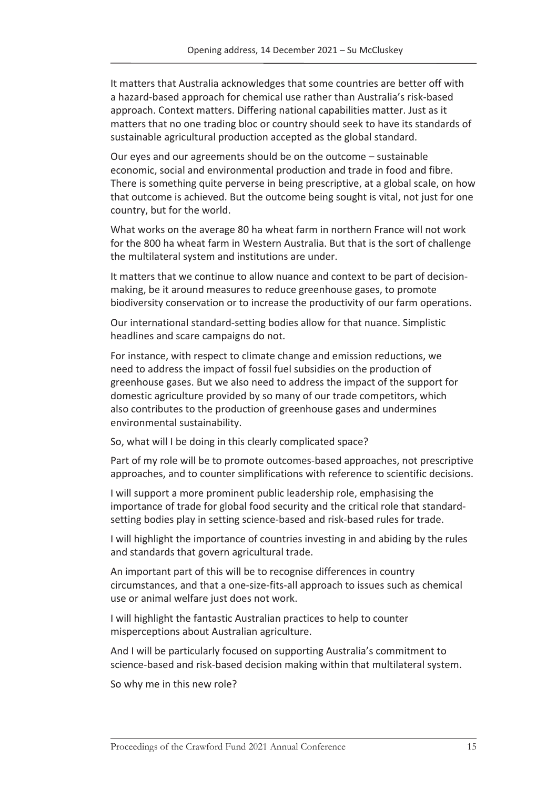It matters that Australia acknowledges that some countries are better off with a hazard-based approach for chemical use rather than Australia's risk-based approach. Context matters. Differing national capabilities matter. Just as it matters that no one trading bloc or country should seek to have its standards of sustainable agricultural production accepted as the global standard.

Our eyes and our agreements should be on the outcome – sustainable economic, social and environmental production and trade in food and fibre. There is something quite perverse in being prescriptive, at a global scale, on how that outcome is achieved. But the outcome being sought is vital, not just for one country, but for the world.

What works on the average 80 ha wheat farm in northern France will not work for the 800 ha wheat farm in Western Australia. But that is the sort of challenge the multilateral system and institutions are under.

It matters that we continue to allow nuance and context to be part of decisionmaking, be it around measures to reduce greenhouse gases, to promote biodiversity conservation or to increase the productivity of our farm operations.

Our international standard-setting bodies allow for that nuance. Simplistic headlines and scare campaigns do not.

For instance, with respect to climate change and emission reductions, we need to address the impact of fossil fuel subsidies on the production of greenhouse gases. But we also need to address the impact of the support for domestic agriculture provided by so many of our trade competitors, which also contributes to the production of greenhouse gases and undermines environmental sustainability.

So, what will I be doing in this clearly complicated space?

Part of my role will be to promote outcomes-based approaches, not prescriptive approaches, and to counter simplifications with reference to scientific decisions.

I will support a more prominent public leadership role, emphasising the importance of trade for global food security and the critical role that standardsetting bodies play in setting science-based and risk-based rules for trade.

I will highlight the importance of countries investing in and abiding by the rules and standards that govern agricultural trade.

An important part of this will be to recognise differences in country circumstances, and that a one-size-fits-all approach to issues such as chemical use or animal welfare just does not work.

I will highlight the fantastic Australian practices to help to counter misperceptions about Australian agriculture.

And I will be particularly focused on supporting Australia's commitment to science-based and risk-based decision making within that multilateral system.

So why me in this new role?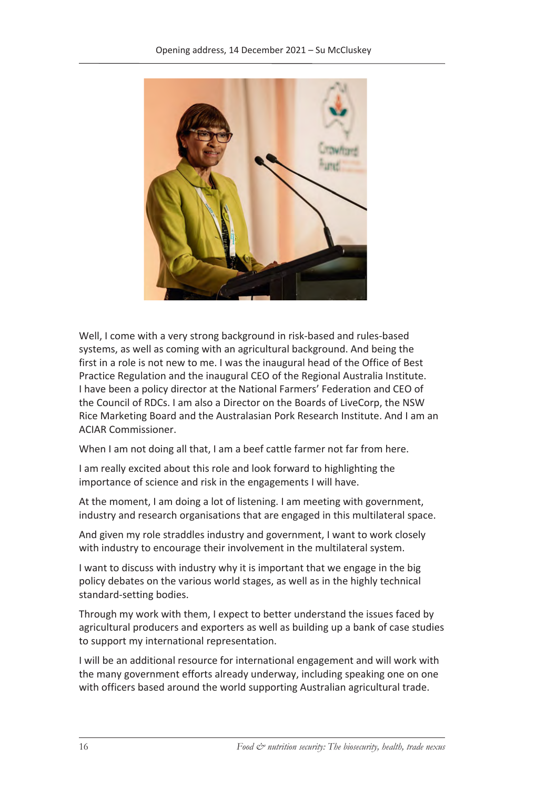

Well, I come with a very strong background in risk-based and rules-based systems, as well as coming with an agricultural background. And being the first in a role is not new to me. I was the inaugural head of the Office of Best Practice Regulation and the inaugural CEO of the Regional Australia Institute. I have been a policy director at the National Farmers' Federation and CEO of the Council of RDCs. I am also a Director on the Boards of LiveCorp, the NSW Rice Marketing Board and the Australasian Pork Research Institute. And I am an ACIAR Commissioner.

When I am not doing all that, I am a beef cattle farmer not far from here.

I am really excited about this role and look forward to highlighting the importance of science and risk in the engagements I will have.

At the moment, I am doing a lot of listening. I am meeting with government, industry and research organisations that are engaged in this multilateral space.

And given my role straddles industry and government, I want to work closely with industry to encourage their involvement in the multilateral system.

I want to discuss with industry why it is important that we engage in the big policy debates on the various world stages, as well as in the highly technical standard-setting bodies.

Through my work with them, I expect to better understand the issues faced by agricultural producers and exporters as well as building up a bank of case studies to support my international representation.

I will be an additional resource for international engagement and will work with the many government efforts already underway, including speaking one on one with officers based around the world supporting Australian agricultural trade.